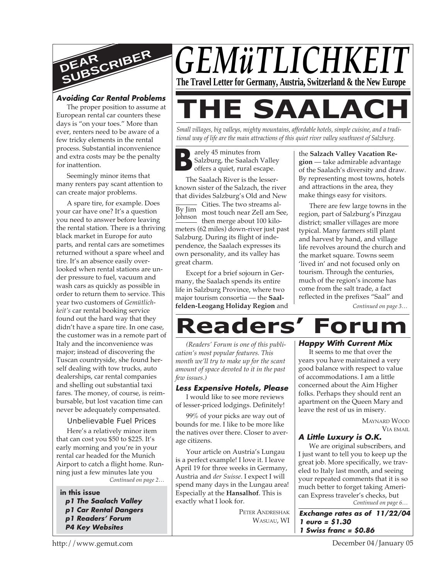

#### **Avoiding Car Rental Problem<sup>s</sup>**

The proper position to assume at European rental car counters these days is "on your toes." More than ever, renters need to be aware of a few tricky elements in the rental process. Substantial inconvenience and extra costs may be the penalty for inattention.

Seemingly minor items that many renters pay scant attention to can create major problems.

A spare tire, for example. Does your car have one? It's a question you need to answer before leaving the rental station. There is a thriving black market in Europe for auto parts, and rental cars are sometimes returned without a spare wheel and tire. It's an absence easily overlooked when rental stations are under pressure to fuel, vacuum and wash cars as quickly as possible in order to return them to service. This year two customers of *Gemütlichkeit's* car rental booking service found out the hard way that they didn't have a spare tire. In one case, the customer was in a remote part of Italy and the inconvenience was major; instead of discovering the Tuscan countryside, she found herself dealing with tow trucks, auto dealerships, car rental companies and shelling out substantial taxi fares. The money, of course, is reimbursable, but lost vacation time can never be adequately compensated.

#### Unbelievable Fuel Prices

*Continued on page 2…* Here's a relatively minor item that can cost you \$50 to \$225. It's early morning and you're in your rental car headed for the Munich Airport to catch a flight home. Running just a few minutes late you

#### **in this issue**

**p1 The Saalach Valley p1 Car Rental Dangers p1 Readers' Forum P4 Key Websites**



**THE SAALACH**

*Small villages, big valleys, mighty mountains, affordable hotels, simple cuisine, and a traditional way of life are the main attractions of this quiet river valley southwest of Salzburg.*

**B** arely 45 minutes from Salzburg, the Saalach Valley offers a quiet, rural escape.

<u>Ease</u> Cities. The two streams al-<br>By Jim s<sub>most touch near Zell am Se</sub> Johnson these teach hear Een and St The Saalach River is the lesserknown sister of the Salzach, the river that divides Salzburg's Old and New most touch near Zell am See, meters (62 miles) down-river just past Salzburg. During its flight of independence, the Saalach expresses its own personality, and its valley has great charm.

Except for a brief sojourn in Germany, the Saalach spends its entire life in Salzburg Province, where two major tourism consortia — the **Saalfelden-Leogang Holiday Region** and the **Salzach Valley Vacation Region** — take admirable advantage of the Saalach's diversity and draw. By representing most towns, hotels and attractions in the area, they make things easy for visitors.

There are few large towns in the region, part of Salzburg's Pinzgau district; smaller villages are more typical. Many farmers still plant and harvest by hand, and village life revolves around the church and the market square. Towns seem 'lived in' and not focused only on tourism. Through the centuries, much of the region's income has come from the salt trade, a fact reflected in the prefixes "Saal" and

*Continued on page 3…*

# **Readers' Forum**

*(Readers' Forum is one of this publication's most popular features. This month we'll try to make up for the scant amount of space devoted to it in the past few issues.)*

#### **Less Expensive Hotels, Please**

I would like to see more reviews of lesser-priced lodgings. Definitely!

99% of your picks are way out of bounds for me. I like to be more like the natives over there. Closer to average citizens.

Your article on Austria's Lungau is a perfect example! I love it. I leave April 19 for three weeks in Germany, Austria and *der Suisse*. I expect I will spend many days in the Lungau area! Especially at the **Hansalhof**. This is exactly what I look for.

> PETER ANDRESHAK WASUAU, WI

#### **Happy With Current Mix**

It seems to me that over the years you have maintained a very good balance with respect to value of accommodations. I am a little concerned about the Aim Higher folks. Perhaps they should rent an apartment on the Queen Mary and leave the rest of us in misery.

> MAYNARD WOOD VIA EMAIL

#### **A Little Luxury is O.K.**

*Continued on page 6…* We are original subscribers, and I just want to tell you to keep up the great job. More specifically, we traveled to Italy last month, and seeing your repeated comments that it is so much better to forget taking American Express traveler's checks, but

**Exchange rates as of 11/22/04 1 euro = \$1.30 1 Swiss franc = \$0.86**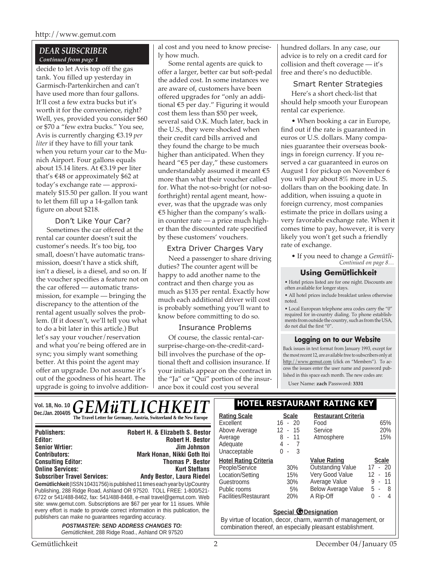#### *DEAR SUBSCRIBER Continued from page 1*

decide to let Avis top off the gas tank. You filled up yesterday in Garmisch-Partenkirchen and can't have used more than four gallons. It'll cost a few extra bucks but it's worth it for the convenience, right? Well, yes, provided you consider \$60 or \$70 a "few extra bucks." You see, Avis is currently charging €3.19 *per liter* if they have to fill your tank when you return your car to the Munich Airport. Four gallons equals about 15.14 liters. At €3.19 per liter that's €48 or approximately \$62 at today's exchange rate — approximately \$15.50 per gallon. If you want to let them fill up a 14-gallon tank figure on about \$218.

Don't Like Your Car? Sometimes the car offered at the rental car counter doesn't suit the customer's needs. It's too big, too small, doesn't have automatic transmission, doesn't have a stick shift, isn't a diesel, is a diesel, and so on. If the voucher specifies a feature not on the car offered — automatic transmission, for example — bringing the discrepancy to the attention of the rental agent usually solves the problem. (If it doesn't, we'll tell you what to do a bit later in this article.) But let's say your voucher/reservation and what you're being offered are in sync; you simply want something better. At this point the agent may offer an upgrade. Do not assume it's out of the goodness of his heart. The upgrade is going to involve addition-

al cost and you need to know precisely how much.

Some rental agents are quick to offer a larger, better car but soft-pedal the added cost. In some instances we are aware of, customers have been offered upgrades for "only an additional €5 per day." Figuring it would cost them less than \$50 per week, several said O.K. Much later, back in the U.S., they were shocked when their credit card bills arrived and they found the charge to be much higher than anticipated. When they heard "€5 per day," these customers understandably assumed it meant €5 more than what their voucher called for. What the not-so-bright (or not-soforthright) rental agent meant, however, was that the upgrade was only €5 higher than the company's walkin counter rate — a price much higher than the discounted rate specified by these customers' vouchers.

#### Extra Driver Charges Vary

Need a passenger to share driving duties? The counter agent will be happy to add another name to the contract and then charge you as much as \$135 per rental. Exactly how much each additional driver will cost is probably something you'll want to know before committing to do so.

## Insurance Problems

Of course, the classic rental-carsurprise-charge-on-the-credit-cardbill involves the purchase of the optional theft and collision insurance. If your initials appear on the contract in the "Ja" or "Qui" portion of the insurance box it could cost you several

hundred dollars. In any case, our advice is to rely on a credit card for collision and theft coverage — it's free and there's no deductible.

Smart Renter Strategies Here's a short check-list that should help smooth your European rental car experience.

• When booking a car in Europe, find out if the rate is guaranteed in euros or U.S. dollars. Many companies guarantee their overseas bookings in foreign currency. If you reserved a car guaranteed in euros on August 1 for pickup on November 6 you will pay about 8% more in U.S. dollars than on the booking date. In addition, when issuing a quote in foreign currency, most companies estimate the price in dollars using a very favorable exchange rate. When it comes time to pay, however, it is very likely you won't get such a friendly rate of exchange.

*Continued on page 8…* • If you need to change a *Gemütli-*

## **Using Gemütlichkeit**

• Hotel prices listed are for one night. Discounts are often available for longer stays.

• All hotel prices include breakfast unless otherwise noted.

• Local European telephone area codes carry the "0" required for in-country dialing. To phone establishments from outside the country, such as from the USA, do not dial the first "0".

## **Logging on to our Website**

Back issues in text format from January 1993, except for the most recent 12, are available free to subscribers only at http://www.gemut.com (click on "Members"). To access the issues enter the user name and password published in this space each month. The new codes are:

User Name: **zach** Password: **3331**

#### Vol. 18, No. 10  $GEM\ddot{u}TLICHKET$  **HOTEL RESTAURANT RATING KEY Dec./Jan. 2004/05 Rational Scale Rating Scale Rating Scale Rating Scale Rating Scale Scale Scale Rating Scale Scale Rating Scale Scale**  $\mathbb{R}$

| <b>Publishers:</b>                                                           | <b>Robert H. &amp; Elizabeth S. Bestor</b>                          |  |
|------------------------------------------------------------------------------|---------------------------------------------------------------------|--|
| Editor:                                                                      | <b>Robert H. Bestor</b>                                             |  |
| <b>Senior Wrtier:</b>                                                        | Jim Johnson                                                         |  |
| <b>Contributors:</b>                                                         | Mark Honan, Nikki Goth Itoi                                         |  |
| <b>Consulting Editor:</b>                                                    | <b>Thomas P. Bestor</b>                                             |  |
| <b>Online Services:</b>                                                      | <b>Kurt Steffans</b>                                                |  |
| <b>Subscriber Travel Services:</b>                                           | <b>Andy Bestor, Laura Riedel</b>                                    |  |
| Gemütlichkeit (ISSN 10431756) is published 11 times each year by UpCountry   |                                                                     |  |
|                                                                              | Publishing, 288 Ridge Road, Ashland OR 97520. TOLL FREE: 1-800/521- |  |
| 6722 or 541/488-8462, fax: 541/488-8468, e-mail travel@gemut.com. Web        |                                                                     |  |
| site: www.gemut.com. Subscriptions are \$67 per year for 11 issues. While    |                                                                     |  |
| every effort is made to provide correct information in this publication, the |                                                                     |  |
| publishers can make no guarantees regarding accuracy.                        |                                                                     |  |
| <b>POSTMASTER: SEND ADDRESS CHANGES TO:</b>                                  |                                                                     |  |

Gemütlichkeit, 288 Ridge Road., Ashland OR 97520

# **Restaurant Criteria**

| Rating Scale                 | <b>Scale</b> | Restaurant Criteria        |                                     |
|------------------------------|--------------|----------------------------|-------------------------------------|
| Excellent                    | $-20$<br>16  | Food                       | 65%                                 |
| Above Average                | $12 - 15$    | Service                    | 20%                                 |
| Average                      | 8 - 11       | Atmosphere                 | 15%                                 |
| Adequate                     | 4 -<br>- 7   |                            |                                     |
| Unacceptable                 | - 3<br>$0 -$ |                            |                                     |
| <b>Hotel Rating Criteria</b> |              | <b>Value Rating</b>        | <b>Scale</b>                        |
| People/Service               | 30%          | <b>Outstanding Value</b>   | $17 - 20$                           |
| Location/Setting             | 15%          | Very Good Value            | $12 - 16$                           |
| Guestrooms                   | 30%          | Average Value              | 9 - 11                              |
| Public rooms                 | 5%           | <b>Below Average Value</b> | 5 -<br>- 8                          |
| Facilities/Restaurant        | 20%          | A Rip-Off                  | O.<br>4<br>$\overline{\phantom{a}}$ |
|                              |              |                            |                                     |

#### **Special @Designation**

By virtue of location, decor, charm, warmth of management, or combination thereof, an especially pleasant establishment.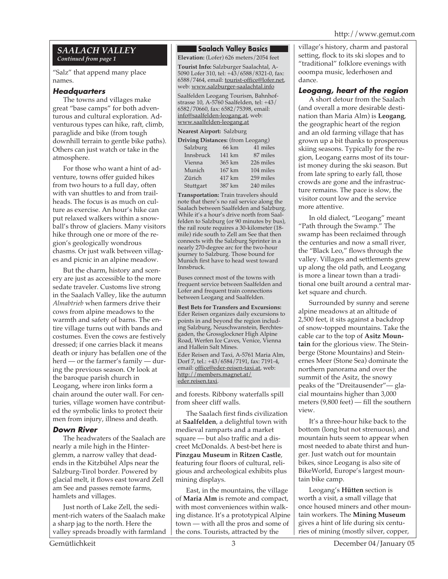## *SAALACH VALLEY Continued from page 1*

"Salz" that append many place names.

#### **Headquarters**

The towns and villages make great "base camps" for both adventurous and cultural exploration. Adventurous types can hike, raft, climb, paraglide and bike (from tough downhill terrain to gentle bike paths). Others can just watch or take in the atmosphere.

For those who want a hint of adventure, towns offer guided hikes from two hours to a full day, often with van shuttles to and from trailheads. The focus is as much on culture as exercise. An hour's hike can put relaxed walkers within a snowball's throw of glaciers. Many visitors hike through one or more of the region's geologically wondrous chasms. Or just walk between villages and picnic in an alpine meadow.

But the charm, history and scenery are just as accessible to the more sedate traveler. Customs live strong in the Saalach Valley, like the autumn *Almabtrieb* when farmers drive their cows from alpine meadows to the warmth and safety of barns. The entire village turns out with bands and costumes. Even the cows are festively dressed; if one carries black it means death or injury has befallen one of the herd — or the farmer's family — during the previous season. Or look at the baroque parish church in Leogang, where iron links form a chain around the outer wall. For centuries, village women have contributed the symbolic links to protect their men from injury, illness and death.

## **Down River**

The headwaters of the Saalach are nearly a mile high in the Hinterglemm, a narrow valley that deadends in the Kitzbühel Alps near the Salzburg-Tirol border. Powered by glacial melt, it flows east toward Zell am See and passes remote farms, hamlets and villages.

Just north of Lake Zell, the sediment-rich waters of the Saalach make a sharp jag to the north. Here the valley spreads broadly with farmland

#### **Saalach Valley Basics**

**Elevation:** (Lofer) 626 meters/2054 feet

**Tourist Info:** Salzburger Saalachtal, A-5090 Lofer 310, tel: +43/6588/8321-0, fax: 6588/7464, email: tourist-office@lofer.net, web: www.salzburger-saalachtal.info

Saalfelden Leogang Tourism, Bahnhofstrasse 10, A-5760 Saalfelden, tel: +43/ 6582/70660, fax: 6582/75398, email: info@saalfelden-leogang.at, web: www.saalfelden-leogang.at

#### **Nearest Airport:** Salzburg

| <b>Driving Distances:</b> (from Leogang) |        |           |  |  |
|------------------------------------------|--------|-----------|--|--|
| Salzburg                                 | 66 km  | 41 miles  |  |  |
| Innsbruck                                | 141 km | 87 miles  |  |  |
| Vienna                                   | 365 km | 226 miles |  |  |
| Munich                                   | 167 km | 104 miles |  |  |
| Zürich                                   | 417 km | 259 miles |  |  |
| Stuttgart                                | 387 km | 240 miles |  |  |

**Transportation:** Train travelers should note that there's no rail service along the Saalach between Saalfelden and Salzburg. While it's a hour's drive north from Saalfelden to Salzburg (or 90 minutes by bus), the rail route requires a 30-kilometer (18 mile) ride south to Zell am See that then connects with the Salzburg Sprinter in a nearly 270-degree arc for the two-hour journey to Salzburg. Those bound for Munich first have to head west toward Innsbruck.

Buses connect most of the towns with frequent service between Saalfelden and Lofer and frequent train connections between Leogang and Saalfelden.

**Best Bets for Transfers and Excursions:** Eder Reisen organizes daily excursions to points in and beyond the region including Salzburg, Neuschwanstein, Berchtesgaden, the Grossglockner High Alpine Road, Werfen Ice Caves, Venice, Vienna and Hallein Salt Mines.

Eder Reisen and Taxi, A-5761 Maria Alm, Dorf 7, tel.: +43/6584/7191, fax: 7191-4, email: office@eder-reisen-taxi.at, web: http://members.magnet.at/ eder.reisen.taxi.

and forests. Ribbony waterfalls spill from sheer cliff walls.

The Saalach first finds civilization at **Saalfelden**, a delightful town with medieval ramparts and a market square — but also traffic and a discreet McDonalds. A best-bet here is **Pinzgau Museum** in **Ritzen Castle**, featuring four floors of cultural, religious and archeological exhibits plus mining displays.

East, in the mountains, the village of **Maria Alm** is remote and compact, with most conveniences within walking distance. It's a prototypical Alpine town — with all the pros and some of the cons. Tourists, attracted by the

village's history, charm and pastoral setting, flock to its ski slopes and to "traditional" folklore evenings with ooompa music, lederhosen and dance.

## **Leogang, heart of the region**

A short detour from the Saalach (and overall a more desirable destination than Maria Alm) is **Leogang**, the geographic heart of the region and an old farming village that has grown up a bit thanks to prosperous skiing seasons. Typically for the region, Leogang earns most of its tourist money during the ski season. But from late spring to early fall, those crowds are gone and the infrastructure remains. The pace is slow, the visitor count low and the service more attentive.

In old dialect, "Leogang" meant "Path through the Swamp." The swamp has been reclaimed through the centuries and now a small river, the "Black Leo," flows through the valley. Villages and settlements grew up along the old path, and Leogang is more a linear town than a traditional one built around a central market square and church.

Surrounded by sunny and serene alpine meadows at an altitude of 2,500 feet, it sits against a backdrop of snow-topped mountains. Take the cable car to the top of **Asitz Mountain** for the glorious view. The Steinberge (Stone Mountains) and Steinernes Meer (Stone Sea) dominate the northern panorama and over the summit of the Asitz, the snowy peaks of the "Dreitausender"— glacial mountains higher than 3,000 meters (9,800 feet) — fill the southern view.

It's a three-hour hike back to the bottom (long but not strenuous), and mountain huts seem to appear when most needed to abate thirst and hunger. Just watch out for mountain bikes, since Leogang is also site of BikeWorld, Europe's largest mountain bike camp.

Leogang's **Hütten** section is worth a visit, a small village that once housed miners and other mountain workers. The **Mining Museum** gives a hint of life during six centuries of mining (mostly silver, copper,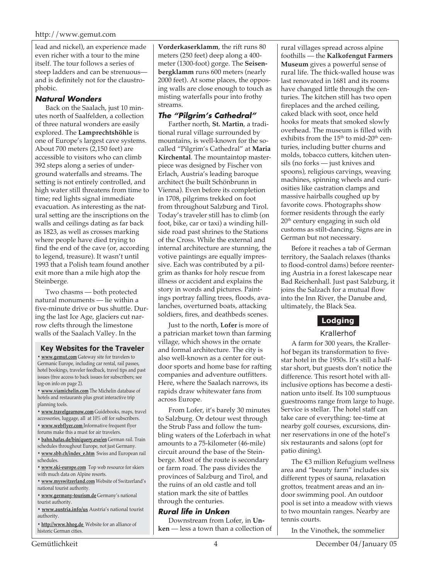lead and nickel), an experience made even richer with a tour to the mine itself. The tour follows a series of steep ladders and can be strenuous and is definitely not for the claustrophobic.

#### **Natural Wonders**

Back on the Saalach, just 10 minutes north of Saalfelden, a collection of three natural wonders are easily explored. The **Lamprechtshöhle** is one of Europe's largest cave systems. About 700 meters (2,150 feet) are accessible to visitors who can climb 392 steps along a series of underground waterfalls and streams. The setting is not entirely controlled, and high water still threatens from time to time; red lights signal immediate evacuation. As interesting as the natural setting are the inscriptions on the walls and ceilings dating as far back as 1823, as well as crosses marking where people have died trying to find the end of the cave (or, according to legend, treasure). It wasn't until 1993 that a Polish team found another exit more than a mile high atop the Steinberge.

Two chasms — both protected natural monuments — lie within a five-minute drive or bus shuttle. During the last Ice Age, glaciers cut narrow clefts through the limestone walls of the Saalach Valley. In the

#### **Key Websites for the Traveler**

**• www.gemut.com** Gateway site for travelers to Germanic Europe, including car rental, rail passes, hotel bookings, traveler feedback, travel tips and past issues (free access to back issues for subscribers; see log-on info on page 2).

**• www.viamichelin.com** The Michelin database of hotels and restaurants plus great interactive trip planning tools.

**• www.travelgearnow.com** Guidebooks, maps, travel accessories, luggage, all at 10% off for subscribers.

- **www.webflyer.com** Informative frequent flyer forums make this a must for air travelers.
- **bahn.hafas.de/bin/query.exe/en** German rail. Train
- schedules throughout Europe, not just Germany.
- **www.sbb.ch/index\_e.htm** Swiss and European rail schedules.
- **www.ski-europe.com** Top web resource for skiers with much data on Alpine resorts.
- **www.myswitzerland.com** Website of Switzerland's national tourist authority.
- **www.germany-tourism.de** Germany's national tourist authority.
- **www.austria.info/us** Austria's national tourist authority.
- **http://www.hhog.de** Website for an alliance of historic German cities.

**Vorderkaserklamm**, the rift runs 80 meters (250 feet) deep along a 400 meter (1300-foot) gorge. The **Seisenbergklamm** runs 600 meters (nearly 2000 feet). At some places, the opposing walls are close enough to touch as misting waterfalls pour into frothy streams.

# **The "Pilgrim's Cathedral"**

Farther north, **St. Martin**, a traditional rural village surrounded by mountains, is well-known for the socalled "Pilgrim's Cathedral" at **Maria Kirchental**. The mountaintop masterpiece was designed by Fischer von Erlach, Austria's leading baroque architect (he built Schönbrunn in Vienna). Even before its completion in 1708, pilgrims trekked on foot from throughout Salzburg and Tirol. Today's traveler still has to climb (on foot, bike, car or taxi) a winding hillside road past shrines to the Stations of the Cross. While the external and internal architecture are stunning, the votive paintings are equally impressive. Each was contributed by a pilgrim as thanks for holy rescue from illness or accident and explains the story in words and pictures. Paintings portray falling trees, floods, avalanches, overturned boats, attacking soldiers, fires, and deathbeds scenes.

Just to the north, **Lofer** is more of a patrician market town than farming village, which shows in the ornate and formal architecture. The city is also well-known as a center for outdoor sports and home base for rafting companies and adventure outfitters. Here, where the Saalach narrows, its rapids draw whitewater fans from across Europe.

From Lofer, it's barely 30 minutes to Salzburg. Or detour west through the Strub Pass and follow the tumbling waters of the Loferbach in what amounts to a 75-kilometer (46-mile) circuit around the base of the Steinberge. Most of the route is secondary or farm road. The pass divides the provinces of Salzburg and Tirol, and the ruins of an old castle and toll station mark the site of battles through the centuries.

#### **Rural life in Unken**

Downstream from Lofer, in **Unken** — less a town than a collection of rural villages spread across alpine foothills — the **Kalkofengut Farmers Museum** gives a powerful sense of rural life. The thick-walled house was last renovated in 1681 and its rooms have changed little through the centuries. The kitchen still has two open fireplaces and the arched ceiling, caked black with soot, once held hooks for meats that smoked slowly overhead. The museum is filled with exhibits from the  $15<sup>th</sup>$  to mid-20<sup>th</sup> centuries, including butter churns and molds, tobacco cutters, kitchen utensils (no forks — just knives and spoons), religious carvings, weaving machines, spinning wheels and curiosities like castration clamps and massive hairballs coughed up by favorite cows. Photographs show former residents through the early 20<sup>th</sup> century engaging in such old customs as stilt-dancing. Signs are in German but not necessary.

Before it reaches a tab of German territory, the Saalach relaxes (thanks to flood-control dams) before reentering Austria in a forest lakescape near Bad Reichenhall. Just past Salzburg, it joins the Salzach for a mutual flow into the Inn River, the Danube and, ultimately, the Black Sea.

# **Lodging**

#### Krallerhof

A farm for 300 years, the Krallerhof began its transformation to fivestar hotel in the 1950s. It's still a halfstar short, but guests don't notice the difference. This resort hotel with allinclusive options has become a destination unto itself. Its 100 sumptuous guestrooms range from large to huge. Service is stellar. The hotel staff can take care of everything: tee-time at nearby golf courses, excursions, dinner reservations in one of the hotel's six restaurants and salons (opt for patio dining).

The €3 million Refugium wellness area and "beauty farm" includes six different types of sauna, relaxation grottos, treatment areas and an indoor swimming pool. An outdoor pool is set into a meadow with views to two mountain ranges. Nearby are tennis courts.

In the Vinothek, the sommelier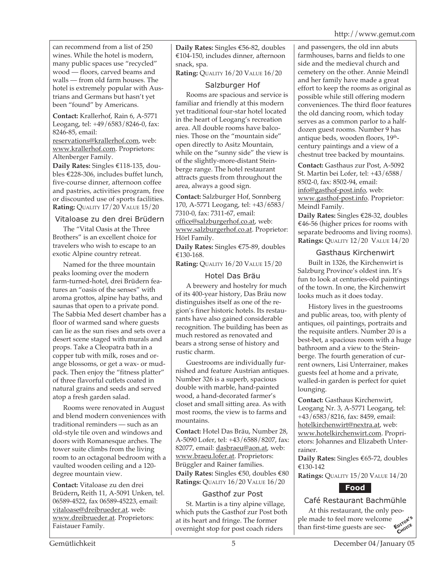can recommend from a list of 250 wines. While the hotel is modern, many public spaces use "recycled" wood — floors, carved beams and walls — from old farm houses. The hotel is extremely popular with Austrians and Germans but hasn't yet been "found" by Americans.

**Contact:** Krallerhof, Rain 6, A-5771 Leogang, tel: +49/6583/8246-0, fax: 8246-85, email:

reservations@krallerhof.com, web: www.krallerhof.com. Proprietors: Altenberger Family.

**Daily Rates:** Singles €118-135, doubles €228-306, includes buffet lunch, five-course dinner, afternoon coffee and pastries, activities program, free or discounted use of sports facilities. **Rating:** QUALITY 17/20 VALUE 15/20

#### Vitaloase zu den drei Brüdern

The "Vital Oasis at the Three Brothers" is an excellent choice for travelers who wish to escape to an exotic Alpine country retreat.

Named for the three mountain peaks looming over the modern farm-turned-hotel, drei Brüdern features an "oasis of the senses" with aroma grottos, alpine hay baths, and saunas that open to a private pond. The Sabbia Med desert chamber has a floor of warmed sand where guests can lie as the sun rises and sets over a desert scene staged with murals and props. Take a Cleopatra bath in a copper tub with milk, roses and orange blossoms, or get a wax- or mudpack. Then enjoy the "fitness platter" of three flavorful cutlets coated in natural grains and seeds and served atop a fresh garden salad.

Rooms were renovated in August and blend modern conveniences with traditional reminders — such as an old-style tile oven and windows and doors with Romanesque arches. The tower suite climbs from the living room to an octagonal bedroom with a vaulted wooden ceiling and a 120 degree mountain view.

**Contact:** Vitaloase zu den drei Brüdern**,** Reith 11, A-5091 Unken, tel. 06589-4522, fax 06589-45223, email: vitaloase@dreibrueder.at. web: www.dreibrueder.at. Proprietors: Faistauer Family.

**Daily Rates:** Singles €56-82, doubles €104-150, includes dinner, afternoon snack, spa.

**Rating:** QUALITY 16/20 VALUE 16/20

## Salzburger Hof

Rooms are spacious and service is familiar and friendly at this modern yet traditional four-star hotel located in the heart of Leogang's recreation area. All double rooms have balconies. Those on the "mountain side" open directly to Asitz Mountain, while on the "sunny side" the view is of the slightly-more-distant Steinberge range. The hotel restaurant attracts guests from throughout the area, always a good sign.

**Contact:** Salzburger Hof, Sonnberg 170, A-5771 Leogang, tel: +43/6583/ 7310-0, fax: 7311-67, email: office@salzburgerhof.co.at, web: www.salzburgerhof.co.at. Proprietor: Hörl Family.

**Daily Rates:** Singles €75-89, doubles €130-168.

**Rating:** QUALITY 16/20 VALUE 15/20

## Hotel Das Bräu

A brewery and hostelry for much of its 400-year history, Das Bräu now distinguishes itself as one of the region's finer historic hotels. Its restaurants have also gained considerable recognition. The building has been as much restored as renovated and bears a strong sense of history and rustic charm.

Guestrooms are individually furnished and feature Austrian antiques. Number 326 is a superb, spacious double with marble, hand-painted wood, a hand-decorated farmer's closet and small sitting area. As with most rooms, the view is to farms and mountains.

**Contact:** Hotel Das Bräu, Number 28, A-5090 Lofer, tel: +43/6588/8207, fax: 82077, email: dasbraeu@aon.at, web: www.braeu.lofer.at. Proprietors: Brüggler and Rainer families. **Daily Rates:** Singles €50, doubles €80 **Ratings:** QUALITY 16/20 VALUE 16/20

## Gasthof zur Post

St. Martin is a tiny alpine village, which puts the Gasthof zur Post both at its heart and fringe. The former overnight stop for post coach riders

and passengers, the old inn abuts farmhouses, barns and fields to one side and the medieval church and cemetery on the other. Annie Meindl and her family have made a great effort to keep the rooms as original as possible while still offering modern conveniences. The third floor features the old dancing room, which today serves as a common parlor to a halfdozen guest rooms. Number 9 has antique beds, wooden floors, 19<sup>th</sup>century paintings and a view of a chestnut tree backed by mountains.

**Contact:** Gasthaus zur Post, A-5092 St. Martin bei Lofer, tel: +43/6588/ 8502-0, fax: 8502-94, email: info@gasthof-post.info, web: www.gasthof-post.info. Proprietor: Meindl Family.

**Daily Rates:** Singles €28-32, doubles €46-56 (higher prices for rooms with separate bedrooms and living rooms). **Ratings:** QUALITY 12/20 VALUE 14/20

## Gasthaus Kirchenwirt

Built in 1326, the Kirchenwirt is Salzburg Province's oldest inn. It's fun to look at centuries-old paintings of the town. In one, the Kirchenwirt looks much as it does today.

History lives in the guestrooms and public areas, too, with plenty of antiques, oil paintings, portraits and the requisite antlers. Number 20 is a best-bet, a spacious room with a huge bathroom and a view to the Steinberge. The fourth generation of current owners, Lisi Unterrainer, makes guests feel at home and a private, walled-in garden is perfect for quiet lounging.

**Contact:** Gasthaus Kirchenwirt, Leogang Nr. 3, A-5771 Leogang, tel: +43/6583/8216, fax: 8459, email: hotelkirchenwirt@nextra.at, web: www.hotelkirchenwirt.com. Proprietors: Johannes and Elizabeth Unterrainer.

**Daily Rates:** Singles €65-72, doubles €130-142

**Ratings:** QUALITY 15/20 VALUE 14/20



# Café Restaurant Bachmühle

At this restaurant, the only peo-<br>made to feel more welcome<br>in first-time ones ple made to feel more welcome  $t$ han first-time guests are sec-**CHOICE**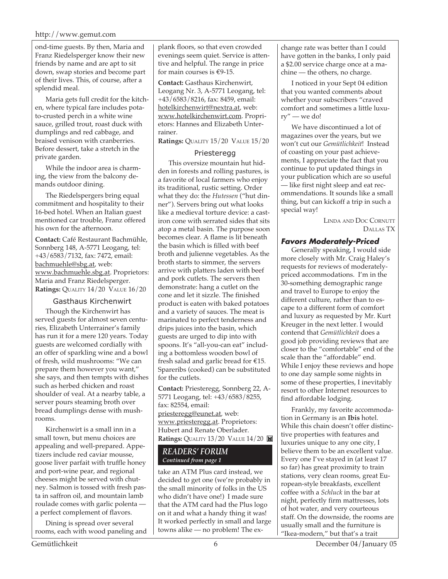#### http://www.gemut.com

ond-time guests. By then, Maria and Franz Riedelsperger know their new friends by name and are apt to sit down, swap stories and become part of their lives. This, of course, after a splendid meal.

Maria gets full credit for the kitchen, where typical fare includes potato-crusted perch in a white wine sauce, grilled trout, roast duck with dumplings and red cabbage, and braised venison with cranberries. Before dessert, take a stretch in the private garden.

While the indoor area is charming, the view from the balcony demands outdoor dining.

The Riedelspergers bring equal commitment and hospitality to their 16-bed hotel. When an Italian guest mentioned car trouble, Franz offered his own for the afternoon.

**Contact:** Café Restaurant Bachmühle, Sonnberg 148, A-5771 Leogang, tel: +43/6583/7132, fax: 7472, email: bachmuehle@sbg.at, web: www.bachmuehle.sbg.at. Proprietors: Maria and Franz Riedelsperger. **Ratings:** QUALITY 14/20 VALUE 16/20

#### Gasthaus Kirchenwirt

Though the Kirchenwirt has served guests for almost seven centuries, Elizabeth Unterrainer's family has run it for a mere 120 years. Today guests are welcomed cordially with an offer of sparkling wine and a bowl of fresh, wild mushrooms: "We can prepare them however you want," she says, and then tempts with dishes such as herbed chicken and roast shoulder of veal. At a nearby table, a server pours steaming broth over bread dumplings dense with mushrooms.

Kirchenwirt is a small inn in a small town, but menu choices are appealing and well-prepared. Appetizers include red caviar mousse, goose liver parfait with truffle honey and port-wine pear, and regional cheeses might be served with chutney. Salmon is tossed with fresh pasta in saffron oil, and mountain lamb roulade comes with garlic polenta a perfect complement of flavors.

Dining is spread over several rooms, each with wood paneling and plank floors, so that even crowded evenings seem quiet. Service is attentive and helpful. The range in price for main courses is  $€9-15$ .

**Contact:** Gasthaus Kirchenwirt, Leogang Nr. 3, A-5771 Leogang, tel: +43/6583/8216, fax: 8459, email: hotelkirchenwirt@nextra.at, web: www.hotelkirchenwirt.com. Proprietors: Hannes and Elizabeth Unterrainer.

**Ratings:** QUALITY 15/20 VALUE 15/20

#### Priesteregg

This oversize mountain hut hidden in forests and rolling pastures, is a favorite of local farmers who enjoy its traditional, rustic setting. Order what they do: the *Hutessen* ("hut dinner"). Servers bring out what looks like a medieval torture device: a castiron cone with serrated sides that sits atop a metal basin. The purpose soon becomes clear. A flame is lit beneath the basin which is filled with beef broth and julienne vegetables. As the broth starts to simmer, the servers arrive with platters laden with beef and pork cutlets. The servers then demonstrate: hang a cutlet on the cone and let it sizzle. The finished product is eaten with baked potatoes and a variety of sauces. The meat is marinated to perfect tenderness and drips juices into the basin, which guests are urged to dip into with spoons. It's "all-you-can eat" including a bottomless wooden bowl of fresh salad and garlic bread for €15. Spareribs (cooked) can be substituted for the cutlets.

**Contact:** Priesteregg, Sonnberg 22, A-5771 Leogang, tel: +43/6583/8255, fax: 82554, email: priesteregg@eunet.at, web: www.priesteregg.at. Proprietors: Hubert and Renate Oberlader. **Ratings: QUALITY 13/20 VALUE 14/20 8** 

#### *READERS' FORUM Continued from page 1*

take an ATM Plus card instead, we decided to get one (we're probably in the small minority of folks in the US who didn't have one!) I made sure that the ATM card had the Plus logo on it and what a handy thing it was! It worked perfectly in small and large towns alike — no problem! The ex-

change rate was better than I could have gotten in the banks, I only paid a \$2.00 service charge once at a machine — the others, no charge.

I noticed in your Sept 04 edition that you wanted comments about whether your subscribers "craved comfort and sometimes a little luxury" — we do!

We have discontinued a lot of magazines over the years, but we won't cut our *Gemütlichkeit*! Instead of coasting on your past achievements, I appreciate the fact that you continue to put updated things in your publication which are so useful — like first night sleep and eat recommendations. It sounds like a small thing, but can kickoff a trip in such a special way!

> LINDA AND DOC CORNUTT DALLAS TX

#### **Favors Moderately-Priced**

Generally speaking, I would side more closely with Mr. Craig Haley's requests for reviews of moderatelypriced accommodations. I'm in the 30-something demographic range and travel to Europe to enjoy the different culture, rather than to escape to a different form of comfort and luxury as requested by Mr. Kurt Kreuger in the next letter. I would contend that *Gemütlichkeit* does a good job providing reviews that are closer to the "comfortable" end of the scale than the "affordable" end. While I enjoy these reviews and hope to one day sample some nights in some of these properties, I inevitably resort to other Internet resources to find affordable lodging.

Frankly, my favorite accommodation in Germany is an **Ibis** hotel. While this chain doesn't offer distinctive properties with features and luxuries unique to any one city, I believe them to be an excellent value. Every one I've stayed in (at least 17 so far) has great proximity to train stations, very clean rooms, great European-style breakfasts, excellent coffee with a *Schluck* in the bar at night, perfectly firm mattresses, lots of hot water, and very courteous staff. On the downside, the rooms are usually small and the furniture is "Ikea-modern," but that's a trait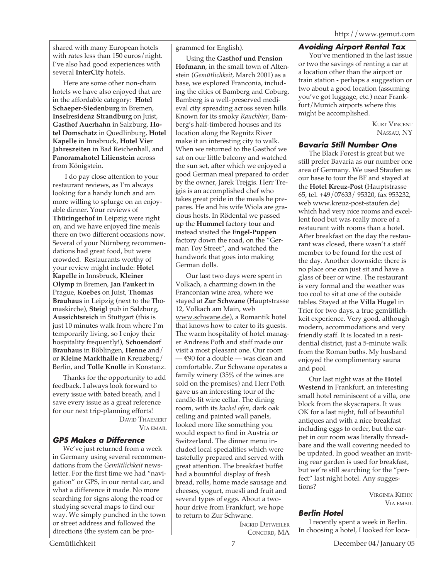shared with many European hotels with rates less than 150 euros/night. I've also had good experiences with several **InterCity** hotels.

Here are some other non-chain hotels we have also enjoyed that are in the affordable category: **Hotel Schaeper-Siedenburg** in Bremen, **Inselresidenz Strandburg** on Juist, **Gasthof Auerhahn** in Salzburg, **Hotel Domschatz** in Quedlinburg, **Hotel Kapelle** in Innsbruck, **Hotel Vier Jahreszeiten** in Bad Reichenhall, and **Panoramahotel Lilienstein** across from Königstein.

 I do pay close attention to your restaurant reviews, as I'm always looking for a handy lunch and am more willing to splurge on an enjoyable dinner. Your reviews of **Thüringerhof** in Leipzig were right on, and we have enjoyed fine meals there on two different occasions now. Several of your Nürnberg recommendations had great food, but were crowded. Restaurants worthy of your review might include: **Hotel Kapelle** in Innsbruck, **Kleiner Olymp** in Bremen, **Jan Paukert** in Prague, **Koebes** on Juist, **Thomas Brauhaus** in Leipzig (next to the Thomaskirche), **Steigl** pub in Salzburg, **Aussichtsreich** in Stuttgart (this is just 10 minutes walk from where I'm temporarily living, so I enjoy their hospitality frequently!), **Schoendorf Brauhaus** in Böblingen, **Henne** and/ or **Kleine Markthalle** in Kreuzberg/ Berlin, and **Tolle Knolle** in Konstanz.

Thanks for the opportunity to add feedback. I always look forward to every issue with bated breath, and I save every issue as a great reference for our next trip-planning efforts!

DAVID THAEMERT VIA EMAIL

# **GPS Makes a Difference**

We've just returned from a week in Germany using several recommendations from the *Gemütlichkeit* newsletter. For the first time we had "navigation" or GPS, in our rental car, and what a difference it made. No more searching for signs along the road or studying several maps to find our way. We simply punched in the town or street address and followed the directions (the system can be programmed for English).

Using the **Gasthof und Pension Hofmann**, in the small town of Altenstein (*Gemütlichkeit*, March 2001) as a base, we explored Franconia, including the cities of Bamberg and Coburg. Bamberg is a well-preserved medieval city spreading across seven hills. Known for its smoky *Rauchbier*, Bamberg's half-timbered houses and its location along the Regnitz River make it an interesting city to walk. When we returned to the Gasthof we sat on our little balcony and watched the sun set, after which we enjoyed a good German meal prepared to order by the owner, Jarek Trejgis. Herr Trejgis is an accomplished chef who takes great pride in the meals he prepares. He and his wife Wiola are gracious hosts. In Rödental we passed up the **Hummel** factory tour and instead visited the **Engel-Puppen** factory down the road, on the "German Toy Street", and watched the handwork that goes into making German dolls.

Our last two days were spent in Volkach, a charming down in the Franconian wine area, where we stayed at **Zur Schwane** (Hauptstrasse 12, Volkach am Main, web www.schwane.de), a Romantik hotel that knows how to cater to its guests. The warm hospitality of hotel manager Andreas Poth and staff made our visit a most pleasant one. Our room — €90 for a double — was clean and comfortable. Zur Schwane operates a family winery (35% of the wines are sold on the premises) and Herr Poth gave us an interesting tour of the candle-lit wine cellar. The dining room, with its *kachel ofen*, dark oak ceiling and painted wall panels, looked more like something you would expect to find in Austria or Switzerland. The dinner menu included local specialities which were tastefully prepared and served with great attention. The breakfast buffet had a bountiful display of fresh bread, rolls, home made sausage and cheeses, yogurt, muesli and fruit and several types of eggs. About a twohour drive from Frankfurt, we hope to return to Zur Schwane.

INGRID DETWEILER CONCORD, MA

# **Avoiding Airport Rental Tax**

You've mentioned in the last issue or two the savings of renting a car at a location other than the airport or train station - perhaps a suggestion or two about a good location (assuming you've got luggage, etc.) near Frankfurt/Munich airports where this might be accomplished.

> KURT VINCENT NASSAU, NY

# **Bavaria Still Number One**

The Black Forest is great but we still prefer Bavaria as our number one area of Germany. We used Staufen as our base to tour the BF and stayed at the **Hotel Kreuz-Post** (Hauptstrasse 65, tel. +49/07633/ 95320, fax 953232, web www.kreuz-post-staufen.de) which had very nice rooms and excellent food but was really more of a restaurant with rooms than a hotel. After breakfast on the day the restaurant was closed, there wasn't a staff member to be found for the rest of the day. Another downside: there is no place one can just sit and have a glass of beer or wine. The restaurant is very formal and the weather was too cool to sit at one of the outside tables. Stayed at the **Villa Hugel** in Trier for two days, a true gemütlichkeit experience. Very good, although modern, accommodations and very friendly staff. It is located in a residential district, just a 5-minute walk from the Roman baths. My husband enjoyed the complimentary sauna and pool.

Our last night was at the **Hotel Westend** in Frankfurt, an interesting small hotel reminiscent of a villa, one block from the skyscrapers. It was OK for a last night, full of beautiful antiques and with a nice breakfast including eggs to order, but the carpet in our room was literally threadbare and the wall covering needed to be updated. In good weather an inviting rear garden is used for breakfast, but we're still searching for the "perfect" last night hotel. Any suggestions?

> VIRGINIA KIEHN VIA EMAIL

# **Berlin Hotel**

I recently spent a week in Berlin. In choosing a hotel, I looked for loca-